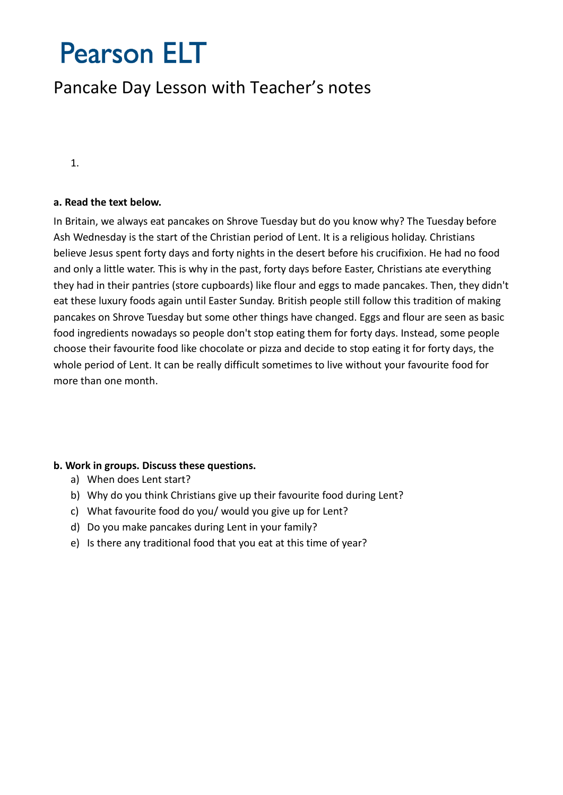# **Pearson ELT**

## Pancake Day Lesson with Teacher's notes

1.

#### **a. Read the text below.**

In Britain, we always eat pancakes on Shrove Tuesday but do you know why? The Tuesday before Ash Wednesday is the start of the Christian period of Lent. It is a religious holiday. Christians believe Jesus spent forty days and forty nights in the desert before his crucifixion. He had no food and only a little water. This is why in the past, forty days before Easter, Christians ate everything they had in their pantries (store cupboards) like flour and eggs to made pancakes. Then, they didn't eat these luxury foods again until Easter Sunday. British people still follow this tradition of making pancakes on Shrove Tuesday but some other things have changed. Eggs and flour are seen as basic food ingredients nowadays so people don't stop eating them for forty days. Instead, some people choose their favourite food like chocolate or pizza and decide to stop eating it for forty days, the whole period of Lent. It can be really difficult sometimes to live without your favourite food for more than one month.

#### **b. Work in groups. Discuss these questions.**

- a) When does Lent start?
- b) Why do you think Christians give up their favourite food during Lent?
- c) What favourite food do you/ would you give up for Lent?
- d) Do you make pancakes during Lent in your family?
- e) Is there any traditional food that you eat at this time of year?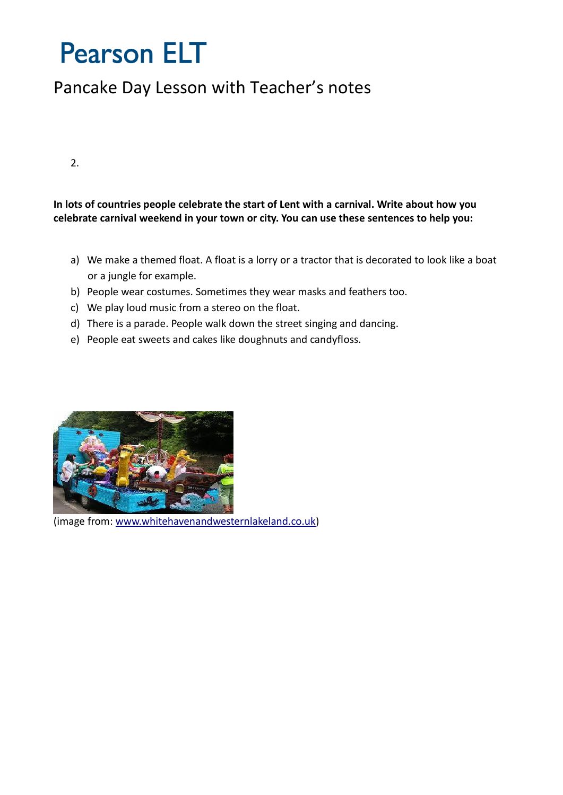## **Pearson ELT**

## Pancake Day Lesson with Teacher's notes

 $\mathcal{L}$ 

### **In lots of countries people celebrate the start of Lent with a carnival. Write about how you celebrate carnival weekend in your town or city. You can use these sentences to help you:**

- a) We make a themed float. A float is a lorry or a tractor that is decorated to look like a boat or a jungle for example.
- b) People wear costumes. Sometimes they wear masks and feathers too.
- c) We play loud music from a stereo on the float.
- d) There is a parade. People walk down the street singing and dancing.
- e) People eat sweets and cakes like doughnuts and candyfloss.



(image from: [www.whitehavenandwesternlakeland.co.uk\)](http://www.whitehavenandwesternlakeland.co.uk/)